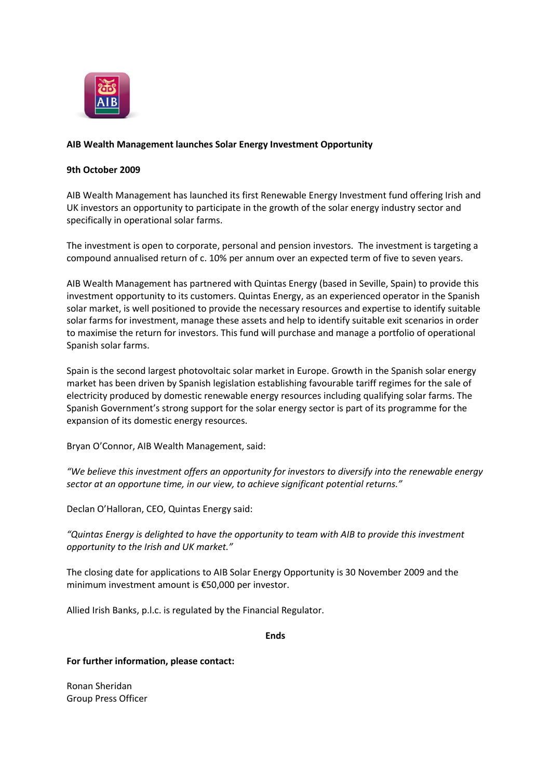

## **AIB Wealth Management launches Solar Energy Investment Opportunity**

## **9th October 2009**

AIB Wealth Management has launched its first Renewable Energy Investment fund offering Irish and UK investors an opportunity to participate in the growth of the solar energy industry sector and specifically in operational solar farms.

The investment is open to corporate, personal and pension investors. The investment is targeting a compound annualised return of c. 10% per annum over an expected term of five to seven years.

AIB Wealth Management has partnered with Quintas Energy (based in Seville, Spain) to provide this investment opportunity to its customers. Quintas Energy, as an experienced operator in the Spanish solar market, is well positioned to provide the necessary resources and expertise to identify suitable solar farms for investment, manage these assets and help to identify suitable exit scenarios in order to maximise the return for investors. This fund will purchase and manage a portfolio of operational Spanish solar farms.

Spain is the second largest photovoltaic solar market in Europe. Growth in the Spanish solar energy market has been driven by Spanish legislation establishing favourable tariff regimes for the sale of electricity produced by domestic renewable energy resources including qualifying solar farms. The Spanish Government's strong support for the solar energy sector is part of its programme for the expansion of its domestic energy resources.

Bryan O'Connor, AIB Wealth Management, said:

*"We believe this investment offers an opportunity for investors to diversify into the renewable energy sector at an opportune time, in our view, to achieve significant potential returns."*

Declan O'Halloran, CEO, Quintas Energy said:

*"Quintas Energy is delighted to have the opportunity to team with AIB to provide this investment opportunity to the Irish and UK market."*

The closing date for applications to AIB Solar Energy Opportunity is 30 November 2009 and the minimum investment amount is €50,000 per investor.

Allied Irish Banks, p.l.c. is regulated by the Financial Regulator.

**Ends** 

**For further information, please contact:**

Ronan Sheridan Group Press Officer